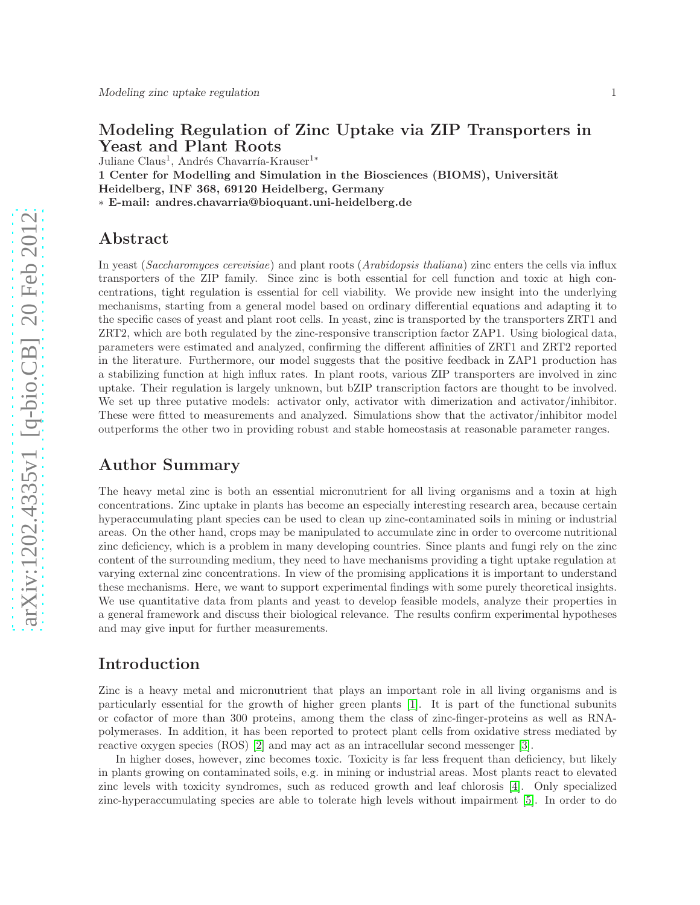## Modeling Regulation of Zinc Uptake via ZIP Transporters in Yeast and Plant Roots

Juliane Claus<sup>1</sup>, Andrés Chavarría-Krauser<sup>1</sup><sup>∗</sup>

1 Center for Modelling and Simulation in the Biosciences (BIOMS), Universität Heidelberg, INF 368, 69120 Heidelberg, Germany ∗ E-mail: andres.chavarria@bioquant.uni-heidelberg.de

## Abstract

In yeast (Saccharomyces cerevisiae) and plant roots (Arabidopsis thaliana) zinc enters the cells via influx transporters of the ZIP family. Since zinc is both essential for cell function and toxic at high concentrations, tight regulation is essential for cell viability. We provide new insight into the underlying mechanisms, starting from a general model based on ordinary differential equations and adapting it to the specific cases of yeast and plant root cells. In yeast, zinc is transported by the transporters ZRT1 and ZRT2, which are both regulated by the zinc-responsive transcription factor ZAP1. Using biological data, parameters were estimated and analyzed, confirming the different affinities of ZRT1 and ZRT2 reported in the literature. Furthermore, our model suggests that the positive feedback in ZAP1 production has a stabilizing function at high influx rates. In plant roots, various ZIP transporters are involved in zinc uptake. Their regulation is largely unknown, but bZIP transcription factors are thought to be involved. We set up three putative models: activator only, activator with dimerization and activator/inhibitor. These were fitted to measurements and analyzed. Simulations show that the activator/inhibitor model outperforms the other two in providing robust and stable homeostasis at reasonable parameter ranges.

# Author Summary

The heavy metal zinc is both an essential micronutrient for all living organisms and a toxin at high concentrations. Zinc uptake in plants has become an especially interesting research area, because certain hyperaccumulating plant species can be used to clean up zinc-contaminated soils in mining or industrial areas. On the other hand, crops may be manipulated to accumulate zinc in order to overcome nutritional zinc deficiency, which is a problem in many developing countries. Since plants and fungi rely on the zinc content of the surrounding medium, they need to have mechanisms providing a tight uptake regulation at varying external zinc concentrations. In view of the promising applications it is important to understand these mechanisms. Here, we want to support experimental findings with some purely theoretical insights. We use quantitative data from plants and yeast to develop feasible models, analyze their properties in a general framework and discuss their biological relevance. The results confirm experimental hypotheses and may give input for further measurements.

## Introduction

Zinc is a heavy metal and micronutrient that plays an important role in all living organisms and is particularly essential for the growth of higher green plants [\[1\]](#page-11-0). It is part of the functional subunits or cofactor of more than 300 proteins, among them the class of zinc-finger-proteins as well as RNApolymerases. In addition, it has been reported to protect plant cells from oxidative stress mediated by reactive oxygen species (ROS) [\[2\]](#page-11-1) and may act as an intracellular second messenger [\[3\]](#page-11-2).

In higher doses, however, zinc becomes toxic. Toxicity is far less frequent than deficiency, but likely in plants growing on contaminated soils, e.g. in mining or industrial areas. Most plants react to elevated zinc levels with toxicity syndromes, such as reduced growth and leaf chlorosis [\[4\]](#page-11-3). Only specialized zinc-hyperaccumulating species are able to tolerate high levels without impairment [\[5\]](#page-11-4). In order to do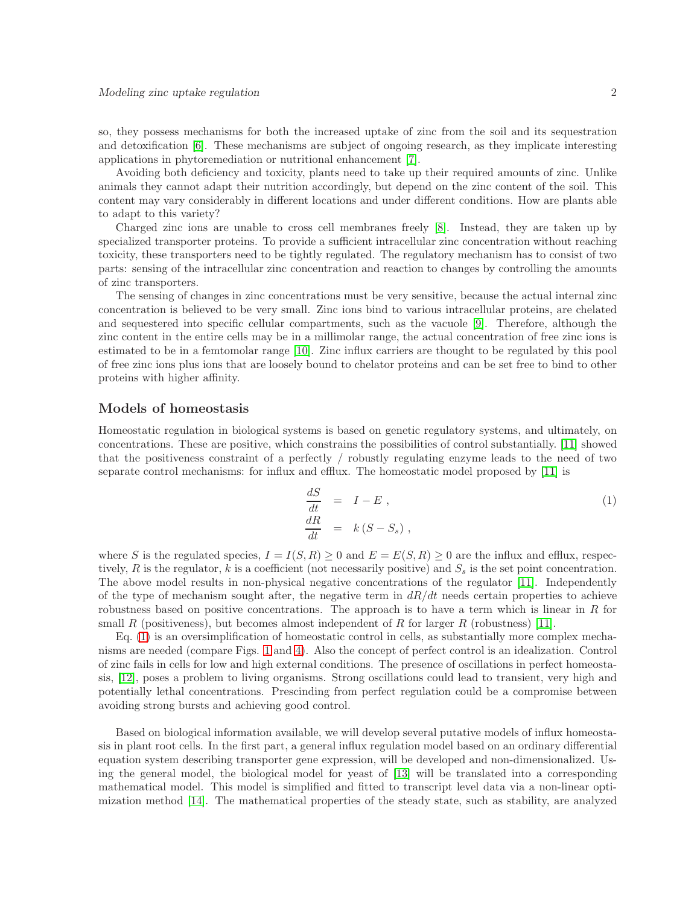so, they possess mechanisms for both the increased uptake of zinc from the soil and its sequestration and detoxification [\[6\]](#page-11-5). These mechanisms are subject of ongoing research, as they implicate interesting applications in phytoremediation or nutritional enhancement [\[7\]](#page-11-6).

Avoiding both deficiency and toxicity, plants need to take up their required amounts of zinc. Unlike animals they cannot adapt their nutrition accordingly, but depend on the zinc content of the soil. This content may vary considerably in different locations and under different conditions. How are plants able to adapt to this variety?

Charged zinc ions are unable to cross cell membranes freely [\[8\]](#page-11-7). Instead, they are taken up by specialized transporter proteins. To provide a sufficient intracellular zinc concentration without reaching toxicity, these transporters need to be tightly regulated. The regulatory mechanism has to consist of two parts: sensing of the intracellular zinc concentration and reaction to changes by controlling the amounts of zinc transporters.

The sensing of changes in zinc concentrations must be very sensitive, because the actual internal zinc concentration is believed to be very small. Zinc ions bind to various intracellular proteins, are chelated and sequestered into specific cellular compartments, such as the vacuole [\[9\]](#page-11-8). Therefore, although the zinc content in the entire cells may be in a millimolar range, the actual concentration of free zinc ions is estimated to be in a femtomolar range [\[10\]](#page-11-9). Zinc influx carriers are thought to be regulated by this pool of free zinc ions plus ions that are loosely bound to chelator proteins and can be set free to bind to other proteins with higher affinity.

## <span id="page-1-1"></span>Models of homeostasis

Homeostatic regulation in biological systems is based on genetic regulatory systems, and ultimately, on concentrations. These are positive, which constrains the possibilities of control substantially. [\[11\]](#page-12-0) showed that the positiveness constraint of a perfectly / robustly regulating enzyme leads to the need of two separate control mechanisms: for influx and efflux. The homeostatic model proposed by [\[11\]](#page-12-0) is

<span id="page-1-0"></span>
$$
\begin{array}{rcl}\n\frac{dS}{dt} & = & I - E \,, \\
\frac{dR}{dt} & = & k \left( S - S_s \right) \,,\n\end{array} \tag{1}
$$

where S is the regulated species,  $I = I(S, R) \geq 0$  and  $E = E(S, R) \geq 0$  are the influx and efflux, respectively, R is the regulator, k is a coefficient (not necessarily positive) and  $S_s$  is the set point concentration. The above model results in non-physical negative concentrations of the regulator [\[11\]](#page-12-0). Independently of the type of mechanism sought after, the negative term in  $dR/dt$  needs certain properties to achieve robustness based on positive concentrations. The approach is to have a term which is linear in  $R$  for small R (positiveness), but becomes almost independent of R for larger R (robustness) [\[11\]](#page-12-0).

Eq. [\(1\)](#page-1-0) is an oversimplification of homeostatic control in cells, as substantially more complex mechanisms are needed (compare Figs. [1](#page-14-0) and [4\)](#page-17-0). Also the concept of perfect control is an idealization. Control of zinc fails in cells for low and high external conditions. The presence of oscillations in perfect homeostasis, [\[12\]](#page-12-1), poses a problem to living organisms. Strong oscillations could lead to transient, very high and potentially lethal concentrations. Prescinding from perfect regulation could be a compromise between avoiding strong bursts and achieving good control.

Based on biological information available, we will develop several putative models of influx homeostasis in plant root cells. In the first part, a general influx regulation model based on an ordinary differential equation system describing transporter gene expression, will be developed and non-dimensionalized. Using the general model, the biological model for yeast of [\[13\]](#page-12-2) will be translated into a corresponding mathematical model. This model is simplified and fitted to transcript level data via a non-linear optimization method [\[14\]](#page-12-3). The mathematical properties of the steady state, such as stability, are analyzed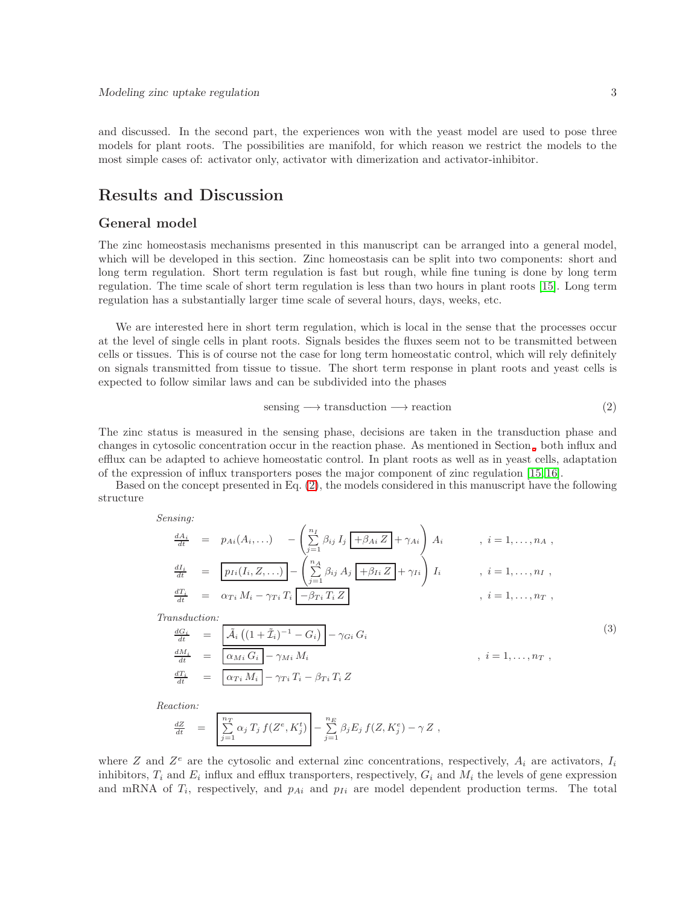and discussed. In the second part, the experiences won with the yeast model are used to pose three models for plant roots. The possibilities are manifold, for which reason we restrict the models to the most simple cases of: activator only, activator with dimerization and activator-inhibitor.

# Results and Discussion

## <span id="page-2-2"></span>General model

The zinc homeostasis mechanisms presented in this manuscript can be arranged into a general model, which will be developed in this section. Zinc homeostasis can be split into two components: short and long term regulation. Short term regulation is fast but rough, while fine tuning is done by long term regulation. The time scale of short term regulation is less than two hours in plant roots [\[15\]](#page-12-4). Long term regulation has a substantially larger time scale of several hours, days, weeks, etc.

We are interested here in short term regulation, which is local in the sense that the processes occur at the level of single cells in plant roots. Signals besides the fluxes seem not to be transmitted between cells or tissues. This is of course not the case for long term homeostatic control, which will rely definitely on signals transmitted from tissue to tissue. The short term response in plant roots and yeast cells is expected to follow similar laws and can be subdivided into the phases

<span id="page-2-0"></span>
$$
sensing \longrightarrow transformation \longrightarrow reaction
$$
 (2)

The zinc status is measured in the sensing phase, decisions are taken in the transduction phase and changes in cytosolic concentration occur in the reaction phase. As mentioned in Section [,](#page-1-1) both influx and efflux can be adapted to achieve homeostatic control. In plant roots as well as in yeast cells, adaptation of the expression of influx transporters poses the major component of zinc regulation [\[15,](#page-12-4) [16\]](#page-12-5).

Based on the concept presented in Eq. [\(2\)](#page-2-0), the models considered in this manuscript have the following structure

Sensing:

$$
\frac{dA_i}{dt} = p_{Ai}(A_i, \ldots) - \left(\sum_{j=1}^{n_I} \beta_{ij} I_j \overline{+ \beta_{Ai} Z} + \gamma_{Ai}\right) A_i, \quad i = 1, \ldots, n_A,
$$
\n
$$
\frac{dI_i}{dt} = \overline{p_{Ii}(I_i, Z, \ldots)} - \left(\sum_{j=1}^{n_A} \beta_{ij} A_j \overline{+ \beta_{Ii} Z} + \gamma_{Ii}\right) I_i, \quad i = 1, \ldots, n_I,
$$
\n
$$
\frac{dT_i}{dt} = \alpha_{Ti} M_i - \gamma_{Ti} T_i \overline{+ \beta_{Ti} T_i Z}, \quad i = 1, \ldots, n_T,
$$
\n
$$
Transduction:
$$
\n
$$
\frac{dG_i}{dt} = \overline{A_i ((1 + \tilde{I}_i)^{-1} - G_i)} - \gamma_{Gi} G_i
$$
\n
$$
\frac{dM_i}{dt} = \overline{\alpha_{Mi} G_i} - \gamma_{Mi} M_i, \quad i = 1, \ldots, n_T,
$$
\n
$$
\frac{dT_i}{dt} = \overline{\alpha_{Ti} M_i} - \gamma_{Ti} T_i - \beta_{Ti} T_i Z}
$$
\n(3)

<span id="page-2-1"></span>Reaction:

$$
\frac{dZ}{dt} = \left[ \sum_{j=1}^{n_T} \alpha_j T_j f(Z^e, K_j^t) - \sum_{j=1}^{n_E} \beta_j E_j f(Z, K_j^e) - \gamma Z \right],
$$

where Z and  $Z^e$  are the cytosolic and external zinc concentrations, respectively,  $A_i$  are activators,  $I_i$ inhibitors,  $T_i$  and  $E_i$  influx and efflux transporters, respectively,  $G_i$  and  $M_i$  the levels of gene expression and mRNA of  $T_i$ , respectively, and  $p_{Ai}$  and  $p_{Ii}$  are model dependent production terms. The total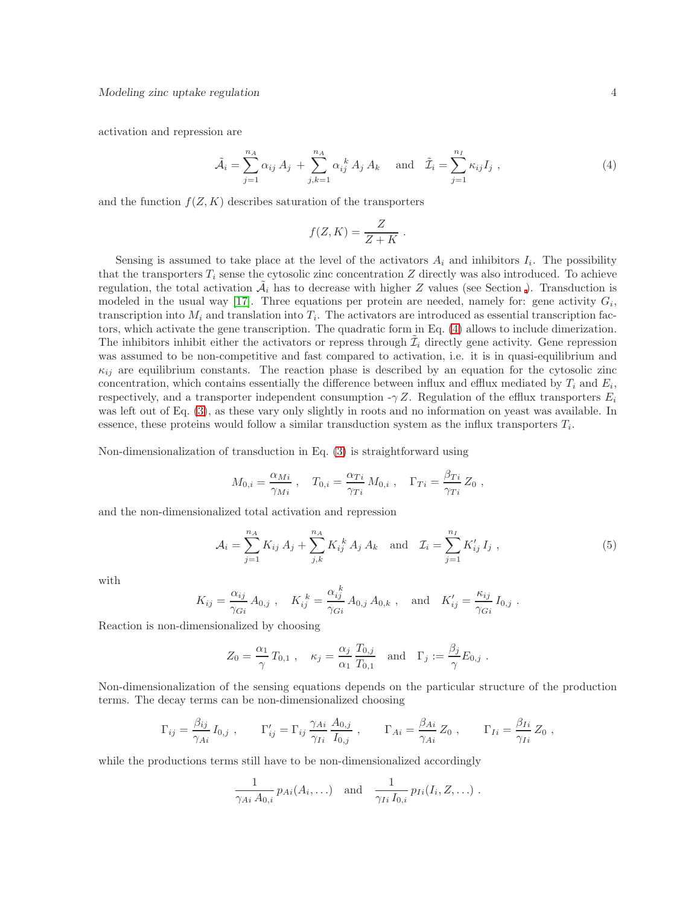activation and repression are

<span id="page-3-0"></span>
$$
\tilde{\mathcal{A}}_i = \sum_{j=1}^{n_A} \alpha_{ij} A_j + \sum_{j,k=1}^{n_A} \alpha_{ij}^k A_j A_k \quad \text{and} \quad \tilde{\mathcal{I}}_i = \sum_{j=1}^{n_I} \kappa_{ij} I_j , \qquad (4)
$$

.

and the function  $f(Z, K)$  describes saturation of the transporters

$$
f(Z, K) = \frac{Z}{Z + K}
$$

Sensing is assumed to take place at the level of the activators  $A_i$  and inhibitors  $I_i$ . The possibility that the transporters  $T_i$  sense the cytosolic zinc concentration Z directly was also introduced. To achieve regulation, the total activation  $\tilde{\mathcal{A}}_i$  has to decrease with higher Z values (see Section [\)](#page-1-1). Transduction is modeled in the usual way [\[17\]](#page-12-6). Three equations per protein are needed, namely for: gene activity  $G_i$ , transcription into  $M_i$  and translation into  $T_i$ . The activators are introduced as essential transcription factors, which activate the gene transcription. The quadratic form in Eq. [\(4\)](#page-3-0) allows to include dimerization. The inhibitors inhibit either the activators or repress through  $\tilde{\mathcal{I}}_i$  directly gene activity. Gene repression was assumed to be non-competitive and fast compared to activation, i.e. it is in quasi-equilibrium and  $\kappa_{ij}$  are equilibrium constants. The reaction phase is described by an equation for the cytosolic zinc concentration, which contains essentially the difference between influx and efflux mediated by  $T_i$  and  $E_i$ , respectively, and a transporter independent consumption  $-\gamma Z$ . Regulation of the efflux transporters  $E_i$ was left out of Eq. [\(3\)](#page-2-1), as these vary only slightly in roots and no information on yeast was available. In essence, these proteins would follow a similar transduction system as the influx transporters  $T_i$ .

Non-dimensionalization of transduction in Eq. [\(3\)](#page-2-1) is straightforward using

$$
M_{0,i} = \frac{\alpha_{Mi}}{\gamma_{Mi}} , \quad T_{0,i} = \frac{\alpha_{Ti}}{\gamma_{Ti}} M_{0,i} , \quad \Gamma_{Ti} = \frac{\beta_{Ti}}{\gamma_{Ti}} Z_0 ,
$$

and the non-dimensionalized total activation and repression

<span id="page-3-1"></span>
$$
\mathcal{A}_{i} = \sum_{j=1}^{n_{A}} K_{ij} A_{j} + \sum_{j,k}^{n_{A}} K_{ij}^{k} A_{j} A_{k} \text{ and } \mathcal{I}_{i} = \sum_{j=1}^{n_{I}} K'_{ij} I_{j} , \qquad (5)
$$

with

$$
K_{ij} = \frac{\alpha_{ij}}{\gamma_{Gi}} A_{0,j}
$$
,  $K_{ij}^k = \frac{\alpha_{ij}^k}{\gamma_{Gi}} A_{0,j} A_{0,k}$ , and  $K'_{ij} = \frac{\kappa_{ij}}{\gamma_{Gi}} I_{0,j}$ .

Reaction is non-dimensionalized by choosing

$$
Z_0 = \frac{\alpha_1}{\gamma} T_{0,1} , \quad \kappa_j = \frac{\alpha_j}{\alpha_1} \frac{T_{0,j}}{T_{0,1}} \quad \text{and} \quad \Gamma_j := \frac{\beta_j}{\gamma} E_{0,j} .
$$

Non-dimensionalization of the sensing equations depends on the particular structure of the production terms. The decay terms can be non-dimensionalized choosing

$$
\Gamma_{ij} = \frac{\beta_{ij}}{\gamma_{Ai}} I_{0,j} , \qquad \Gamma'_{ij} = \Gamma_{ij} \frac{\gamma_{Ai}}{\gamma_{Ii}} \frac{A_{0,j}}{I_{0,j}} , \qquad \Gamma_{Ai} = \frac{\beta_{Ai}}{\gamma_{Ai}} Z_0 , \qquad \Gamma_{Ii} = \frac{\beta_{Ii}}{\gamma_{Ii}} Z_0 ,
$$

while the productions terms still have to be non-dimensionalized accordingly

$$
\frac{1}{\gamma_{Ai} A_{0,i}} p_{Ai}(A_i, \ldots) \quad \text{and} \quad \frac{1}{\gamma_{Ii} I_{0,i}} p_{Ii}(I_i, Z, \ldots) .
$$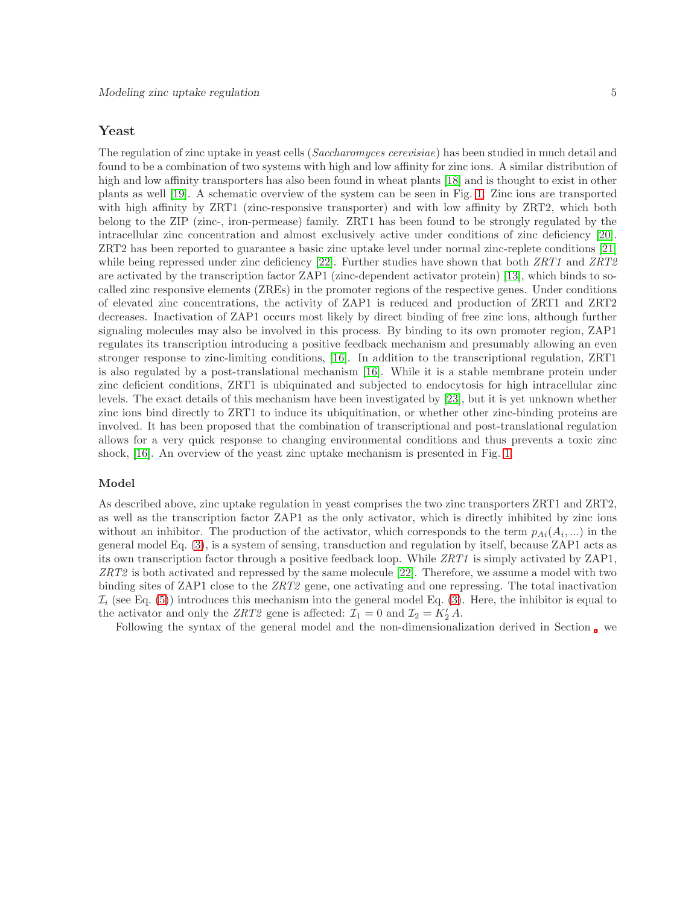## <span id="page-4-0"></span>Yeast

The regulation of zinc uptake in yeast cells (Saccharomyces cerevisiae) has been studied in much detail and found to be a combination of two systems with high and low affinity for zinc ions. A similar distribution of high and low affinity transporters has also been found in wheat plants [\[18\]](#page-12-7) and is thought to exist in other plants as well [\[19\]](#page-12-8). A schematic overview of the system can be seen in Fig. [1.](#page-14-0) Zinc ions are transported with high affinity by ZRT1 (zinc-responsive transporter) and with low affinity by ZRT2, which both belong to the ZIP (zinc-, iron-permease) family. ZRT1 has been found to be strongly regulated by the intracellular zinc concentration and almost exclusively active under conditions of zinc deficiency [\[20\]](#page-12-9). ZRT2 has been reported to guarantee a basic zinc uptake level under normal zinc-replete conditions [\[21\]](#page-12-10) while being repressed under zinc deficiency [\[22\]](#page-12-11). Further studies have shown that both  $ZRT1$  and  $ZRT2$ are activated by the transcription factor ZAP1 (zinc-dependent activator protein) [\[13\]](#page-12-2), which binds to socalled zinc responsive elements (ZREs) in the promoter regions of the respective genes. Under conditions of elevated zinc concentrations, the activity of ZAP1 is reduced and production of ZRT1 and ZRT2 decreases. Inactivation of ZAP1 occurs most likely by direct binding of free zinc ions, although further signaling molecules may also be involved in this process. By binding to its own promoter region, ZAP1 regulates its transcription introducing a positive feedback mechanism and presumably allowing an even stronger response to zinc-limiting conditions, [\[16\]](#page-12-5). In addition to the transcriptional regulation, ZRT1 is also regulated by a post-translational mechanism [\[16\]](#page-12-5). While it is a stable membrane protein under zinc deficient conditions, ZRT1 is ubiquinated and subjected to endocytosis for high intracellular zinc levels. The exact details of this mechanism have been investigated by [\[23\]](#page-12-12), but it is yet unknown whether zinc ions bind directly to ZRT1 to induce its ubiquitination, or whether other zinc-binding proteins are involved. It has been proposed that the combination of transcriptional and post-translational regulation allows for a very quick response to changing environmental conditions and thus prevents a toxic zinc shock, [\[16\]](#page-12-5). An overview of the yeast zinc uptake mechanism is presented in Fig. [1.](#page-14-0)

### Model

As described above, zinc uptake regulation in yeast comprises the two zinc transporters ZRT1 and ZRT2, as well as the transcription factor ZAP1 as the only activator, which is directly inhibited by zinc ions without an inhibitor. The production of the activator, which corresponds to the term  $p_{Ai}(A_i,...)$  in the general model Eq. [\(3\)](#page-2-1), is a system of sensing, transduction and regulation by itself, because ZAP1 acts as its own transcription factor through a positive feedback loop. While ZRT1 is simply activated by ZAP1, ZRT2 is both activated and repressed by the same molecule [\[22\]](#page-12-11). Therefore, we assume a model with two binding sites of ZAP1 close to the ZRT2 gene, one activating and one repressing. The total inactivation  $\mathcal{I}_i$  (see Eq. [\(5\)](#page-3-1)) introduces this mechanism into the general model Eq. [\(3\)](#page-2-1). Here, the inhibitor is equal to the activator and only the ZRT2 gene is affected:  $\mathcal{I}_1 = 0$  and  $\mathcal{I}_2 = K'_2 A$ .

Following the syntax of the general model and the non-dimensionalization derived in Section [,](#page-2-2) we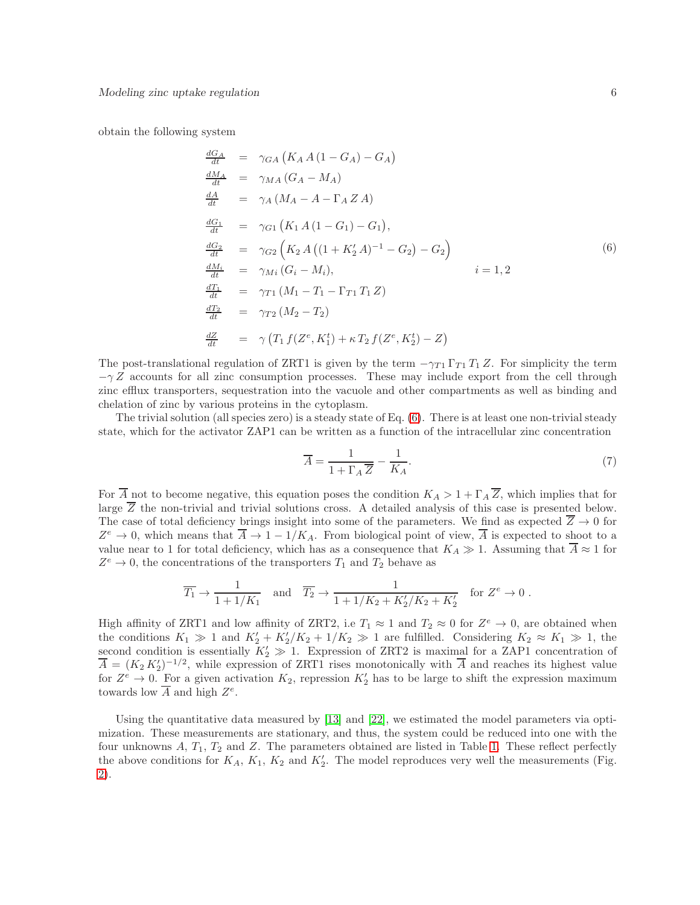obtain the following system

<span id="page-5-0"></span>
$$
\frac{dG_A}{dt} = \gamma_{GA} (K_A A (1 - G_A) - G_A) \n\frac{dM_A}{dt} = \gamma_{MA} (G_A - M_A) \n\frac{dA}{dt} = \gamma_A (M_A - A - \Gamma_A Z A) \n\frac{dG_1}{dt} = \gamma_{G1} (K_1 A (1 - G_1) - G_1), \n\frac{dG_2}{dt} = \gamma_{G2} (K_2 A ((1 + K'_2 A)^{-1} - G_2) - G_2) \n\frac{dM_i}{dt} = \gamma_{Mi} (G_i - M_i), \qquad i = 1, 2 \n\frac{dT_1}{dt} = \gamma_{T1} (M_1 - T_1 - \Gamma_{T1} T_1 Z) \n\frac{dT_2}{dt} = \gamma_{T2} (M_2 - T_2) \n\frac{dZ}{dt} = \gamma (T_1 f (Z^e, K_1^t) + \kappa T_2 f (Z^e, K_2^t) - Z)
$$
\n(6)

The post-translational regulation of ZRT1 is given by the term  $-\gamma_{T1} \Gamma_{T1} T_1 Z$ . For simplicity the term  $-\gamma Z$  accounts for all zinc consumption processes. These may include export from the cell through zinc efflux transporters, sequestration into the vacuole and other compartments as well as binding and chelation of zinc by various proteins in the cytoplasm.

The trivial solution (all species zero) is a steady state of Eq. [\(6\)](#page-5-0). There is at least one non-trivial steady state, which for the activator ZAP1 can be written as a function of the intracellular zinc concentration

<span id="page-5-1"></span>
$$
\overline{A} = \frac{1}{1 + \Gamma_A \overline{Z}} - \frac{1}{K_A}.\tag{7}
$$

For  $\overline{A}$  not to become negative, this equation poses the condition  $K_A > 1 + \Gamma_A \overline{Z}$ , which implies that for large  $\overline{Z}$  the non-trivial and trivial solutions cross. A detailed analysis of this case is presented below. The case of total deficiency brings insight into some of the parameters. We find as expected  $\overline{Z} \to 0$  for  $Z^e \to 0$ , which means that  $\overline{A} \to 1 - 1/K_A$ . From biological point of view,  $\overline{A}$  is expected to shoot to a value near to 1 for total deficiency, which has as a consequence that  $K_A \gg 1$ . Assuming that  $\overline{A} \approx 1$  for  $Z^e \to 0$ , the concentrations of the transporters  $T_1$  and  $T_2$  behave as

$$
\overline{T_1} \to \frac{1}{1 + 1/K_1}
$$
 and  $\overline{T_2} \to \frac{1}{1 + 1/K_2 + K_2'/K_2 + K_2'}$  for  $Z^e \to 0$ .

High affinity of ZRT1 and low affinity of ZRT2, i.e  $T_1 \approx 1$  and  $T_2 \approx 0$  for  $Z^e \to 0$ , are obtained when the conditions  $K_1 \gg 1$  and  $K'_2 + K'_2/K_2 + 1/K_2 \gg 1$  are fulfilled. Considering  $K_2 \approx K_1 \gg 1$ , the second condition is essentially  $K'_2 \gg 1$ . Expression of ZRT2 is maximal for a ZAP1 concentration of  $\overline{A} = (K_2 K_2')^{-1/2}$ , while expression of ZRT1 rises monotonically with  $\overline{A}$  and reaches its highest value for  $Z^e \to 0$ . For a given activation  $K_2$ , repression  $K'_2$  has to be large to shift the expression maximum towards low  $\overline{A}$  and high  $Z^e$ .

Using the quantitative data measured by [\[13\]](#page-12-2) and [\[22\]](#page-12-11), we estimated the model parameters via optimization. These measurements are stationary, and thus, the system could be reduced into one with the four unknowns  $A, T_1, T_2$  and  $Z$ . The parameters obtained are listed in Table [1.](#page-21-0) These reflect perfectly the above conditions for  $K_A$ ,  $K_1$ ,  $K_2$  and  $K'_2$ . The model reproduces very well the measurements (Fig. [2\)](#page-15-0).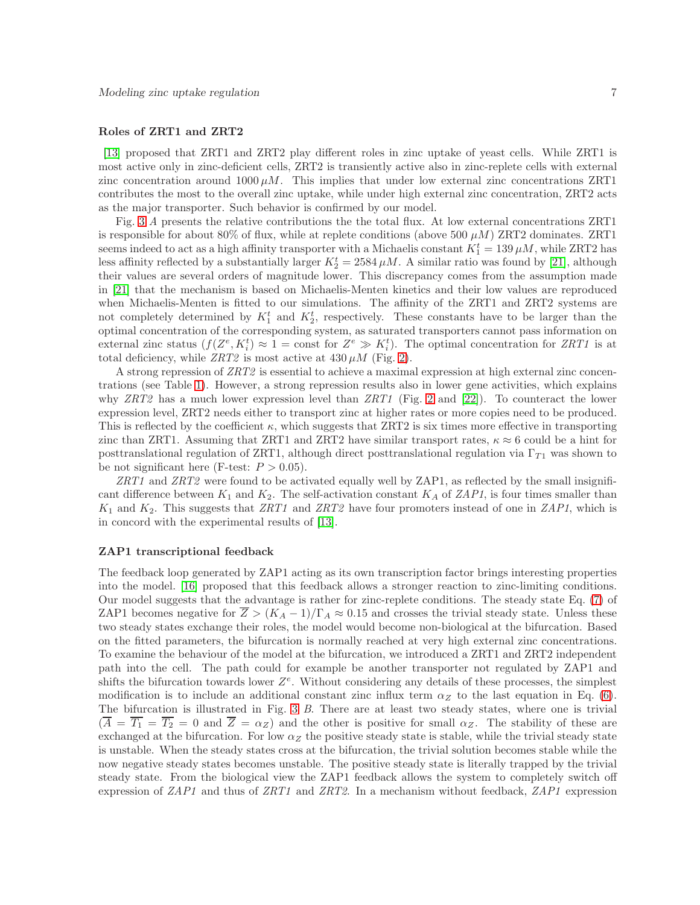#### Roles of ZRT1 and ZRT2

[\[13\]](#page-12-2) proposed that ZRT1 and ZRT2 play different roles in zinc uptake of yeast cells. While ZRT1 is most active only in zinc-deficient cells, ZRT2 is transiently active also in zinc-replete cells with external zinc concentration around  $1000 \mu M$ . This implies that under low external zinc concentrations ZRT1 contributes the most to the overall zinc uptake, while under high external zinc concentration, ZRT2 acts as the major transporter. Such behavior is confirmed by our model.

Fig. [3](#page-16-0) A presents the relative contributions the the total flux. At low external concentrations ZRT1 is responsible for about 80% of flux, while at replete conditions (above 500  $\mu$ M) ZRT2 dominates. ZRT1 seems indeed to act as a high affinity transporter with a Michaelis constant  $K_1^t = 139 \,\mu M$ , while ZRT2 has less affinity reflected by a substantially larger  $K_2^t = 2584 \,\mu M$ . A similar ratio was found by [\[21\]](#page-12-10), although their values are several orders of magnitude lower. This discrepancy comes from the assumption made in [\[21\]](#page-12-10) that the mechanism is based on Michaelis-Menten kinetics and their low values are reproduced when Michaelis-Menten is fitted to our simulations. The affinity of the ZRT1 and ZRT2 systems are not completely determined by  $K_1^t$  and  $K_2^t$ , respectively. These constants have to be larger than the optimal concentration of the corresponding system, as saturated transporters cannot pass information on external zinc status  $(f(Z^e, K_i^t) \approx 1 = \text{const}$  for  $Z^e \gg K_i^t$ . The optimal concentration for ZRT1 is at total deficiency, while  $ZRT2$  is most active at  $430 \,\mu M$  (Fig. [2\)](#page-15-0).

A strong repression of ZRT2 is essential to achieve a maximal expression at high external zinc concentrations (see Table [1\)](#page-21-0). However, a strong repression results also in lower gene activities, which explains why  $ZRT2$  has a much lower expression level than  $ZRT1$  (Fig. [2](#page-15-0) and [\[22\]](#page-12-11)). To counteract the lower expression level, ZRT2 needs either to transport zinc at higher rates or more copies need to be produced. This is reflected by the coefficient  $\kappa$ , which suggests that ZRT2 is six times more effective in transporting zinc than ZRT1. Assuming that ZRT1 and ZRT2 have similar transport rates,  $\kappa \approx 6$  could be a hint for posttranslational regulation of ZRT1, although direct posttranslational regulation via  $\Gamma_{T_1}$  was shown to be not significant here (F-test:  $P > 0.05$ ).

ZRT1 and ZRT2 were found to be activated equally well by ZAP1, as reflected by the small insignificant difference between  $K_1$  and  $K_2$ . The self-activation constant  $K_A$  of ZAP1, is four times smaller than  $K_1$  and  $K_2$ . This suggests that ZRT1 and ZRT2 have four promoters instead of one in ZAP1, which is in concord with the experimental results of [\[13\]](#page-12-2).

## ZAP1 transcriptional feedback

The feedback loop generated by ZAP1 acting as its own transcription factor brings interesting properties into the model. [\[16\]](#page-12-5) proposed that this feedback allows a stronger reaction to zinc-limiting conditions. Our model suggests that the advantage is rather for zinc-replete conditions. The steady state Eq. [\(7\)](#page-5-1) of ZAP1 becomes negative for  $\overline{Z} > (K_A - 1)/\Gamma_A \approx 0.15$  and crosses the trivial steady state. Unless these two steady states exchange their roles, the model would become non-biological at the bifurcation. Based on the fitted parameters, the bifurcation is normally reached at very high external zinc concentrations. To examine the behaviour of the model at the bifurcation, we introduced a ZRT1 and ZRT2 independent path into the cell. The path could for example be another transporter not regulated by ZAP1 and shifts the bifurcation towards lower  $Z^e$ . Without considering any details of these processes, the simplest modification is to include an additional constant zinc influx term  $\alpha_Z$  to the last equation in Eq. [\(6\)](#page-5-0). The bifurcation is illustrated in Fig. [3](#page-16-0) B. There are at least two steady states, where one is trivial  $(\overline{A} = \overline{T_1} = \overline{T_2} = 0$  and  $\overline{Z} = \alpha_Z$ ) and the other is positive for small  $\alpha_Z$ . The stability of these are exchanged at the bifurcation. For low  $\alpha_Z$  the positive steady state is stable, while the trivial steady state is unstable. When the steady states cross at the bifurcation, the trivial solution becomes stable while the now negative steady states becomes unstable. The positive steady state is literally trapped by the trivial steady state. From the biological view the ZAP1 feedback allows the system to completely switch off expression of  $ZAP1$  and thus of  $ZRT1$  and  $ZRT2$ . In a mechanism without feedback,  $ZAP1$  expression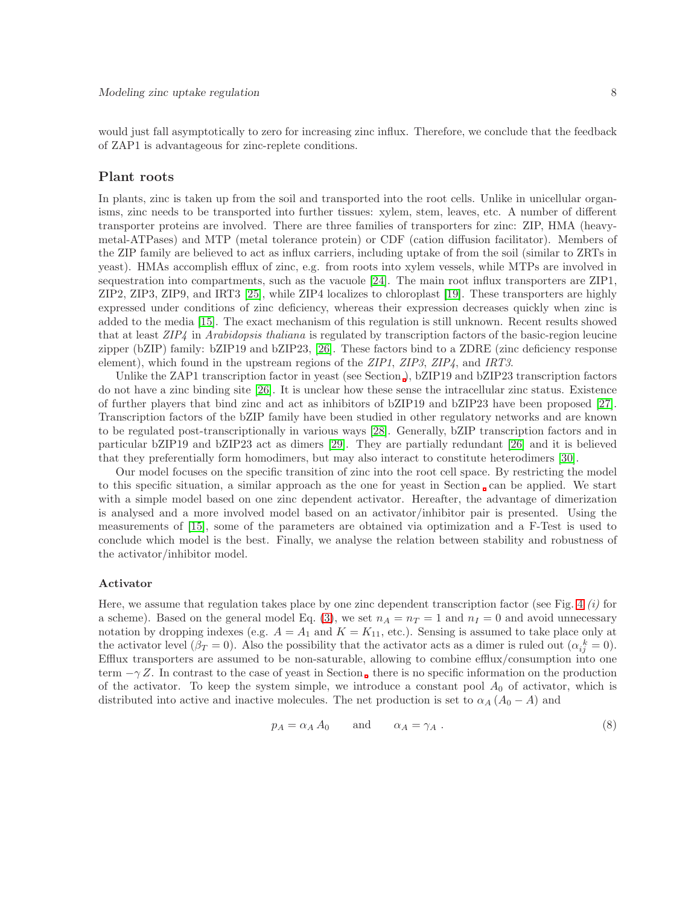would just fall asymptotically to zero for increasing zinc influx. Therefore, we conclude that the feedback of ZAP1 is advantageous for zinc-replete conditions.

## Plant roots

In plants, zinc is taken up from the soil and transported into the root cells. Unlike in unicellular organisms, zinc needs to be transported into further tissues: xylem, stem, leaves, etc. A number of different transporter proteins are involved. There are three families of transporters for zinc: ZIP, HMA (heavymetal-ATPases) and MTP (metal tolerance protein) or CDF (cation diffusion facilitator). Members of the ZIP family are believed to act as influx carriers, including uptake of from the soil (similar to ZRTs in yeast). HMAs accomplish efflux of zinc, e.g. from roots into xylem vessels, while MTPs are involved in sequestration into compartments, such as the vacuole [\[24\]](#page-12-13). The main root influx transporters are ZIP1, ZIP2, ZIP3, ZIP9, and IRT3 [\[25\]](#page-12-14), while ZIP4 localizes to chloroplast [\[19\]](#page-12-8). These transporters are highly expressed under conditions of zinc deficiency, whereas their expression decreases quickly when zinc is added to the media [\[15\]](#page-12-4). The exact mechanism of this regulation is still unknown. Recent results showed that at least ZIP4 in Arabidopsis thaliana is regulated by transcription factors of the basic-region leucine zipper (bZIP) family: bZIP19 and bZIP23, [\[26\]](#page-12-15). These factors bind to a ZDRE (zinc deficiency response element), which found in the upstream regions of the ZIP1, ZIP3, ZIP4, and IRT3.

Unlike the ZAP1 transcription factor in yeast (see Section [\)](#page-4-0), bZIP19 and bZIP23 transcription factors do not have a zinc binding site [\[26\]](#page-12-15). It is unclear how these sense the intracellular zinc status. Existence of further players that bind zinc and act as inhibitors of bZIP19 and bZIP23 have been proposed [\[27\]](#page-12-16). Transcription factors of the bZIP family have been studied in other regulatory networks and are known to be regulated post-transcriptionally in various ways [\[28\]](#page-12-17). Generally, bZIP transcription factors and in particular bZIP19 and bZIP23 act as dimers [\[29\]](#page-13-0). They are partially redundant [\[26\]](#page-12-15) and it is believed that they preferentially form homodimers, but may also interact to constitute heterodimers [\[30\]](#page-13-1).

Our model focuses on the specific transition of zinc into the root cell space. By restricting the model to this specific situation, a similar approach as the one for yeast in Section can be applied. We start with a simple model based on one zinc dependent activator. Hereafter, the advantage of dimerization is analysed and a more involved model based on an activator/inhibitor pair is presented. Using the measurements of [\[15\]](#page-12-4), some of the parameters are obtained via optimization and a F-Test is used to conclude which model is the best. Finally, we analyse the relation between stability and robustness of the activator/inhibitor model.

#### <span id="page-7-0"></span>Activator

Here, we assume that regulation takes place by one zinc dependent transcription factor (see Fig. [4](#page-17-0)  $(i)$  for a scheme). Based on the general model Eq. [\(3\)](#page-2-1), we set  $n_A = n_T = 1$  and  $n_I = 0$  and avoid unnecessary notation by dropping indexes (e.g.  $A = A_1$  and  $K = K_{11}$ , etc.). Sensing is assumed to take place only at the activator level ( $\beta_T = 0$ ). Also the possibility that the activator acts as a dimer is ruled out ( $\alpha_{ij}^k = 0$ ). Efflux transporters are assumed to be non-saturable, allowing to combine efflux/consumption into one term  $-\gamma Z$ . In contrast to the case of yeast in Section, there is no specific information on the production of the activator. To keep the system simple, we introduce a constant pool  $A_0$  of activator, which is distributed into active and inactive molecules. The net production is set to  $\alpha_A(A_0-A)$  and

<span id="page-7-1"></span>
$$
p_A = \alpha_A A_0 \qquad \text{and} \qquad \alpha_A = \gamma_A . \tag{8}
$$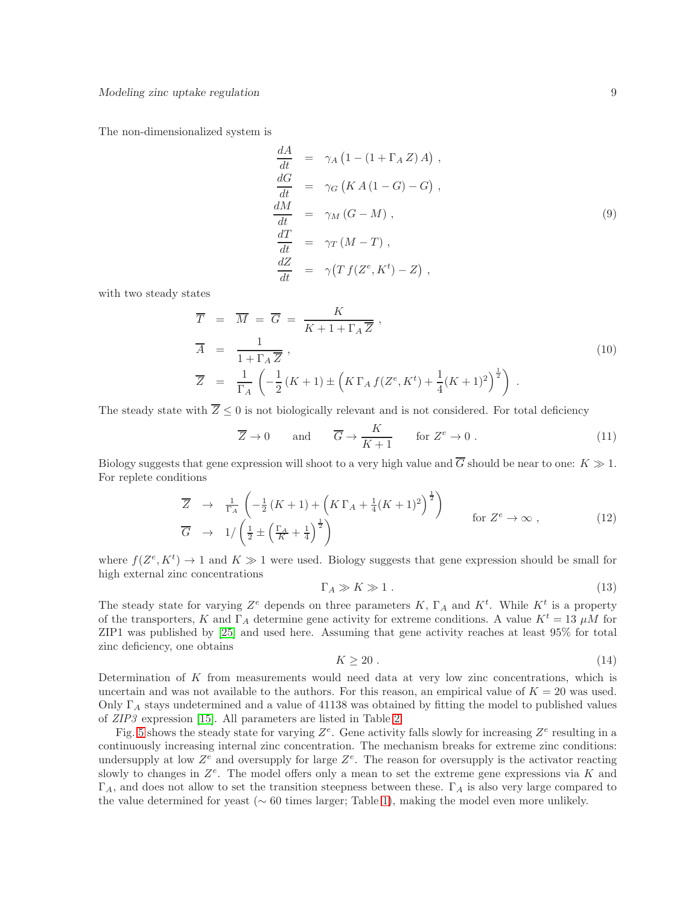The non-dimensionalized system is

<span id="page-8-0"></span>
$$
\frac{dA}{dt} = \gamma_A (1 - (1 + \Gamma_A Z) A) ,
$$
\n
$$
\frac{dG}{dt} = \gamma_G (KA (1 - G) - G) ,
$$
\n
$$
\frac{dM}{dt} = \gamma_M (G - M) ,
$$
\n
$$
\frac{dT}{dt} = \gamma_T (M - T) ,
$$
\n
$$
\frac{dZ}{dt} = \gamma (T f (Z^e, K^t) - Z) ,
$$
\n(9)

with two steady states

<span id="page-8-1"></span>
$$
\overline{T} = \overline{M} = \overline{G} = \frac{K}{K + 1 + \Gamma_A \overline{Z}},
$$
\n
$$
\overline{A} = \frac{1}{1 + \Gamma_A \overline{Z}},
$$
\n
$$
\overline{Z} = \frac{1}{\Gamma_A} \left( -\frac{1}{2} (K + 1) \pm \left( K \Gamma_A f (Z^e, K^t) + \frac{1}{4} (K + 1)^2 \right)^{\frac{1}{2}} \right).
$$
\n
$$
(10)
$$

The steady state with  $Z \leq 0$  is not biologically relevant and is not considered. For total deficiency

$$
\overline{Z} \to 0 \quad \text{and} \quad \overline{G} \to \frac{K}{K+1} \quad \text{for } Z^e \to 0. \tag{11}
$$

Biology suggests that gene expression will shoot to a very high value and  $\overline{G}$  should be near to one:  $K \gg 1$ . For replete conditions

$$
\overline{Z} \rightarrow \frac{1}{\Gamma_A} \left( -\frac{1}{2} (K+1) + \left( K \Gamma_A + \frac{1}{4} (K+1)^2 \right)^{\frac{1}{2}} \right) \qquad \text{for } Z^e \to \infty ,
$$
\n
$$
\overline{G} \rightarrow 1/ \left( \frac{1}{2} \pm \left( \frac{\Gamma_A}{K} + \frac{1}{4} \right)^{\frac{1}{2}} \right) \qquad \text{for } Z^e \to \infty ,
$$
\n(12)

where  $f(Z^e, K^t) \to 1$  and  $K \gg 1$  were used. Biology suggests that gene expression should be small for high external zinc concentrations

<span id="page-8-2"></span>
$$
\Gamma_A \gg K \gg 1 \tag{13}
$$

The steady state for varying  $Z^e$  depends on three parameters K,  $\Gamma_A$  and  $K^t$ . While  $K^t$  is a property of the transporters, K and  $\Gamma_A$  determine gene activity for extreme conditions. A value  $K^t = 13 \mu M$  for ZIP1 was published by [\[25\]](#page-12-14) and used here. Assuming that gene activity reaches at least 95% for total zinc deficiency, one obtains

<span id="page-8-3"></span>
$$
K \ge 20 \tag{14}
$$

Determination of  $K$  from measurements would need data at very low zinc concentrations, which is uncertain and was not available to the authors. For this reason, an empirical value of  $K = 20$  was used. Only  $\Gamma_A$  stays undetermined and a value of 41138 was obtained by fitting the model to published values of ZIP3 expression [\[15\]](#page-12-4). All parameters are listed in Table [2.](#page-22-0)

Fig. [5](#page-18-0) shows the steady state for varying  $Z^e$ . Gene activity falls slowly for increasing  $Z^e$  resulting in a continuously increasing internal zinc concentration. The mechanism breaks for extreme zinc conditions: undersupply at low  $Z^e$  and oversupply for large  $Z^e$ . The reason for oversupply is the activator reacting slowly to changes in  $Z^e$ . The model offers only a mean to set the extreme gene expressions via K and  $\Gamma_A$ , and does not allow to set the transition steepness between these.  $\Gamma_A$  is also very large compared to the value determined for yeast (∼ 60 times larger; Table [1\)](#page-21-0), making the model even more unlikely.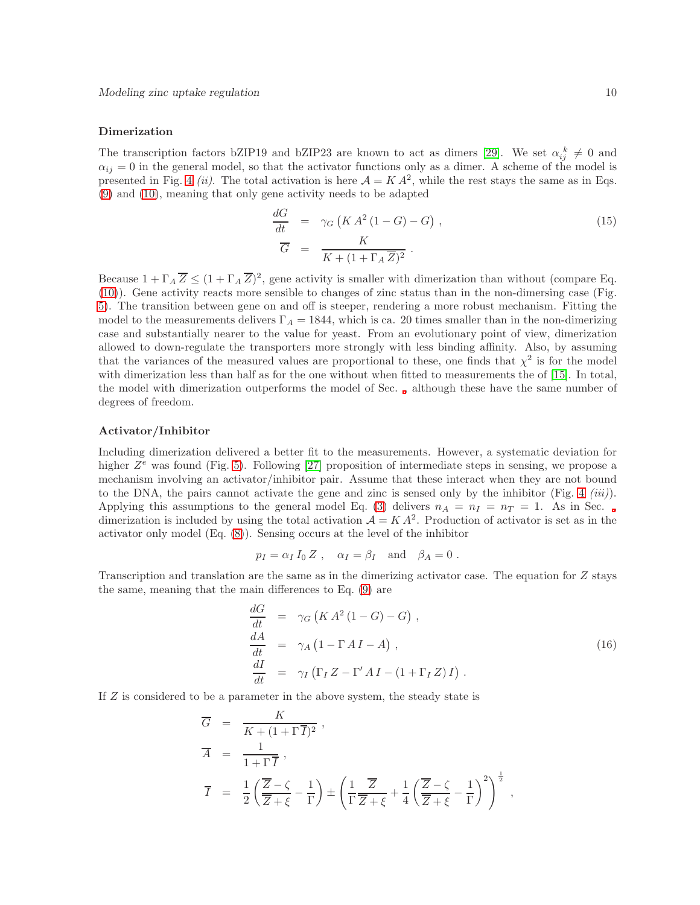### <span id="page-9-0"></span>Dimerization

The transcription factors bZIP19 and bZIP23 are known to act as dimers [\[29\]](#page-13-0). We set  $\alpha_{ij}^k \neq 0$  and  $\alpha_{ij} = 0$  in the general model, so that the activator functions only as a dimer. A scheme of the model is presented in Fig. [4](#page-17-0) (*ii*). The total activation is here  $A = KA^2$ , while the rest stays the same as in Eqs. [\(9\)](#page-8-0) and [\(10\)](#page-8-1), meaning that only gene activity needs to be adapted

$$
\frac{dG}{dt} = \gamma_G \left( K A^2 (1 - G) - G \right),
$$
\n
$$
\overline{G} = \frac{K}{K + (1 + \Gamma_A \overline{Z})^2}.
$$
\n(15)

Because  $1 + \Gamma_A \overline{Z} \leq (1 + \Gamma_A \overline{Z})^2$ , gene activity is smaller with dimerization than without (compare Eq. [\(10\)](#page-8-1)). Gene activity reacts more sensible to changes of zinc status than in the non-dimersing case (Fig. [5\)](#page-18-0). The transition between gene on and off is steeper, rendering a more robust mechanism. Fitting the model to the measurements delivers  $\Gamma_A = 1844$ , which is ca. 20 times smaller than in the non-dimerizing case and substantially nearer to the value for yeast. From an evolutionary point of view, dimerization allowed to down-regulate the transporters more strongly with less binding affinity. Also, by assuming that the variances of the measured values are proportional to these, one finds that  $\chi^2$  is for the model with dimerization less than half as for the one without when fitted to measurements the of [\[15\]](#page-12-4). In total, the model with dimerization outperforms the model of Sec. [,](#page-7-0) although these have the same number of degrees of freedom.

#### Activator/Inhibitor

Including dimerization delivered a better fit to the measurements. However, a systematic deviation for higher  $Z^e$  was found (Fig. [5\)](#page-18-0). Following [\[27\]](#page-12-16) proposition of intermediate steps in sensing, we propose a mechanism involving an activator/inhibitor pair. Assume that these interact when they are not bound to the DNA, the pairs cannot activate the gene and zinc is sensed only by the inhibitor (Fig. [4](#page-17-0)  $(iii)$ ). Applying this assumptions to the general model Eq. [\(3\)](#page-2-1) delivers  $n_A = n_I = n_T = 1$ . As in Sec., dimerization is included by using the total activation  $A = K A^2$ . Production of activator is set as in the activator only model (Eq. [\(8\)](#page-7-1)). Sensing occurs at the level of the inhibitor

$$
p_I = \alpha_I I_0 Z
$$
,  $\alpha_I = \beta_I$  and  $\beta_A = 0$ .

Transcription and translation are the same as in the dimerizing activator case. The equation for Z stays the same, meaning that the main differences to Eq. [\(9\)](#page-8-0) are

$$
\begin{array}{rcl}\n\frac{dG}{dt} & = & \gamma_G \left( K \, A^2 \left( 1 - G \right) - G \right), \\
\frac{dA}{dt} & = & \gamma_A \left( 1 - \Gamma \, A \, I - A \right), \\
\frac{dI}{dt} & = & \gamma_I \left( \Gamma_I \, Z - \Gamma' \, A \, I - \left( 1 + \Gamma_I \, Z \right) I \right).\n\end{array} \tag{16}
$$

If Z is considered to be a parameter in the above system, the steady state is

$$
\overline{G} = \frac{K}{K + (1 + \Gamma \overline{I})^2},
$$
\n
$$
\overline{A} = \frac{1}{1 + \Gamma \overline{I}},
$$
\n
$$
\overline{I} = \frac{1}{2} \left( \frac{\overline{Z} - \zeta}{\overline{Z} + \xi} - \frac{1}{\Gamma} \right) \pm \left( \frac{1}{\Gamma} \frac{\overline{Z}}{\overline{Z} + \xi} + \frac{1}{4} \left( \frac{\overline{Z} - \zeta}{\overline{Z} + \xi} - \frac{1}{\Gamma} \right)^2 \right)^{\frac{1}{2}},
$$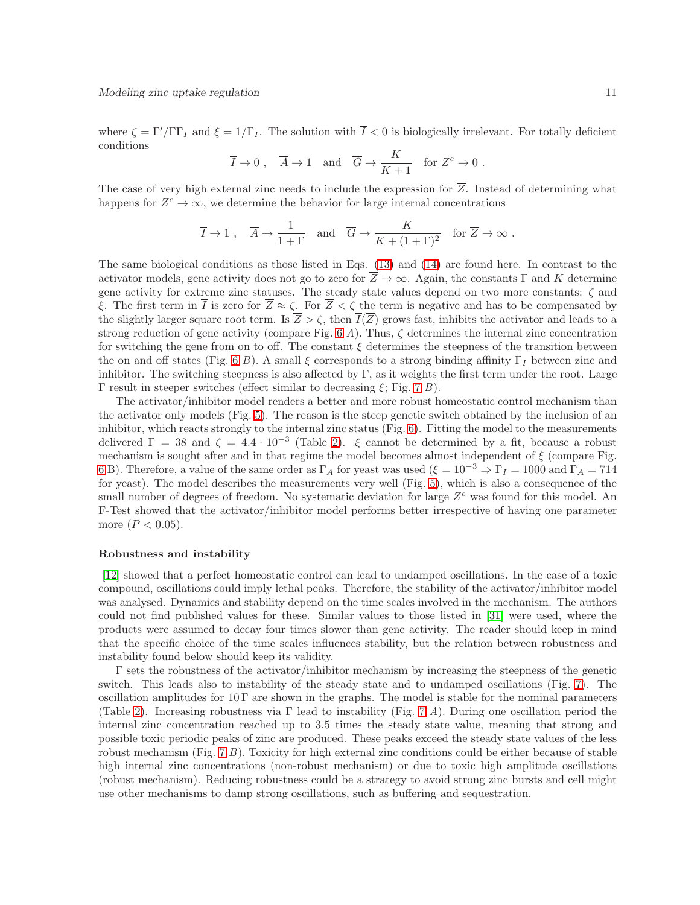where  $\zeta = \Gamma'/\Gamma\Gamma_I$  and  $\xi = 1/\Gamma_I$ . The solution with  $\overline{I} < 0$  is biologically irrelevant. For totally deficient conditions

$$
\overline{I} \to 0
$$
,  $\overline{A} \to 1$  and  $\overline{G} \to \frac{K}{K+1}$  for  $Z^e \to 0$ .

The case of very high external zinc needs to include the expression for  $\overline{Z}$ . Instead of determining what happens for  $Z^e \to \infty$ , we determine the behavior for large internal concentrations

$$
\overline{I} \to 1
$$
,  $\overline{A} \to \frac{1}{1+\Gamma}$  and  $\overline{G} \to \frac{K}{K+(1+\Gamma)^2}$  for  $\overline{Z} \to \infty$ .

The same biological conditions as those listed in Eqs. [\(13\)](#page-8-2) and [\(14\)](#page-8-3) are found here. In contrast to the activator models, gene activity does not go to zero for  $\overline{Z} \to \infty$ . Again, the constants Γ and K determine gene activity for extreme zinc statuses. The steady state values depend on two more constants:  $\zeta$  and ξ. The first term in  $\overline{I}$  is zero for  $\overline{Z} \approx \zeta$ . For  $\overline{Z} < \zeta$  the term is negative and has to be compensated by the slightly larger square root term. Is  $Z > \zeta$ , then  $\overline{I}(\overline{Z})$  grows fast, inhibits the activator and leads to a strong reduction of gene activity (compare Fig. [6](#page-19-0) A). Thus,  $\zeta$  determines the internal zinc concentration for switching the gene from on to off. The constant  $\xi$  determines the steepness of the transition between the on and off states (Fig. [6](#page-19-0) B). A small  $\xi$  corresponds to a strong binding affinity  $\Gamma_I$  between zinc and inhibitor. The switching steepness is also affected by  $\Gamma$ , as it weights the first term under the root. Large Γ result in steeper switches (effect similar to decreasing  $ξ$ ; Fig. [7](#page-20-0) B).

The activator/inhibitor model renders a better and more robust homeostatic control mechanism than the activator only models (Fig. [5\)](#page-18-0). The reason is the steep genetic switch obtained by the inclusion of an inhibitor, which reacts strongly to the internal zinc status (Fig. [6\)](#page-19-0). Fitting the model to the measurements delivered  $\Gamma = 38$  and  $\zeta = 4.4 \cdot 10^{-3}$  (Table [2\)](#page-22-0).  $\xi$  cannot be determined by a fit, because a robust mechanism is sought after and in that regime the model becomes almost independent of  $\xi$  (compare Fig. [6](#page-19-0) B). Therefore, a value of the same order as  $\Gamma_A$  for yeast was used  $(\xi = 10^{-3} \Rightarrow \Gamma_I = 1000$  and  $\Gamma_A = 714$ for yeast). The model describes the measurements very well (Fig. [5\)](#page-18-0), which is also a consequence of the small number of degrees of freedom. No systematic deviation for large  $Z^e$  was found for this model. An F-Test showed that the activator/inhibitor model performs better irrespective of having one parameter more  $(P < 0.05)$ .

#### Robustness and instability

[\[12\]](#page-12-1) showed that a perfect homeostatic control can lead to undamped oscillations. In the case of a toxic compound, oscillations could imply lethal peaks. Therefore, the stability of the activator/inhibitor model was analysed. Dynamics and stability depend on the time scales involved in the mechanism. The authors could not find published values for these. Similar values to those listed in [\[31\]](#page-13-2) were used, where the products were assumed to decay four times slower than gene activity. The reader should keep in mind that the specific choice of the time scales influences stability, but the relation between robustness and instability found below should keep its validity.

Γ sets the robustness of the activator/inhibitor mechanism by increasing the steepness of the genetic switch. This leads also to instability of the steady state and to undamped oscillations (Fig. [7\)](#page-20-0). The oscillation amplitudes for  $10 \Gamma$  are shown in the graphs. The model is stable for the nominal parameters (Table [2\)](#page-22-0). Increasing robustness via  $\Gamma$  lead to instability (Fig. [7](#page-20-0) A). During one oscillation period the internal zinc concentration reached up to 3.5 times the steady state value, meaning that strong and possible toxic periodic peaks of zinc are produced. These peaks exceed the steady state values of the less robust mechanism (Fig.  $7 B$ ). Toxicity for high external zinc conditions could be either because of stable high internal zinc concentrations (non-robust mechanism) or due to toxic high amplitude oscillations (robust mechanism). Reducing robustness could be a strategy to avoid strong zinc bursts and cell might use other mechanisms to damp strong oscillations, such as buffering and sequestration.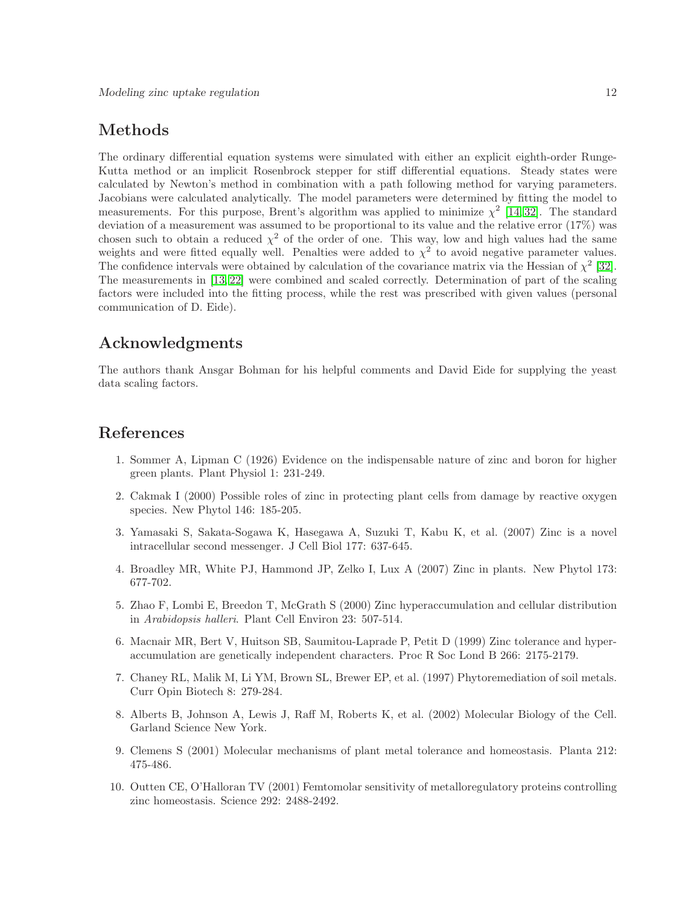# Methods

The ordinary differential equation systems were simulated with either an explicit eighth-order Runge-Kutta method or an implicit Rosenbrock stepper for stiff differential equations. Steady states were calculated by Newton's method in combination with a path following method for varying parameters. Jacobians were calculated analytically. The model parameters were determined by fitting the model to measurements. For this purpose, Brent's algorithm was applied to minimize  $\chi^2$  [\[14,](#page-12-3)32]. The standard deviation of a measurement was assumed to be proportional to its value and the relative error (17%) was chosen such to obtain a reduced  $\chi^2$  of the order of one. This way, low and high values had the same weights and were fitted equally well. Penalties were added to  $\chi^2$  to avoid negative parameter values. The confidence intervals were obtained by calculation of the covariance matrix via the Hessian of  $\chi^2$  [\[32\]](#page-13-3). The measurements in [\[13,](#page-12-2) [22\]](#page-12-11) were combined and scaled correctly. Determination of part of the scaling factors were included into the fitting process, while the rest was prescribed with given values (personal communication of D. Eide).

# Acknowledgments

The authors thank Ansgar Bohman for his helpful comments and David Eide for supplying the yeast data scaling factors.

# <span id="page-11-0"></span>References

- 1. Sommer A, Lipman C (1926) Evidence on the indispensable nature of zinc and boron for higher green plants. Plant Physiol 1: 231-249.
- <span id="page-11-1"></span>2. Cakmak I (2000) Possible roles of zinc in protecting plant cells from damage by reactive oxygen species. New Phytol 146: 185-205.
- <span id="page-11-2"></span>3. Yamasaki S, Sakata-Sogawa K, Hasegawa A, Suzuki T, Kabu K, et al. (2007) Zinc is a novel intracellular second messenger. J Cell Biol 177: 637-645.
- <span id="page-11-4"></span><span id="page-11-3"></span>4. Broadley MR, White PJ, Hammond JP, Zelko I, Lux A (2007) Zinc in plants. New Phytol 173: 677-702.
- 5. Zhao F, Lombi E, Breedon T, McGrath S (2000) Zinc hyperaccumulation and cellular distribution in Arabidopsis halleri. Plant Cell Environ 23: 507-514.
- <span id="page-11-5"></span>6. Macnair MR, Bert V, Huitson SB, Saumitou-Laprade P, Petit D (1999) Zinc tolerance and hyperaccumulation are genetically independent characters. Proc R Soc Lond B 266: 2175-2179.
- <span id="page-11-6"></span>7. Chaney RL, Malik M, Li YM, Brown SL, Brewer EP, et al. (1997) Phytoremediation of soil metals. Curr Opin Biotech 8: 279-284.
- <span id="page-11-8"></span><span id="page-11-7"></span>8. Alberts B, Johnson A, Lewis J, Raff M, Roberts K, et al. (2002) Molecular Biology of the Cell. Garland Science New York.
- 9. Clemens S (2001) Molecular mechanisms of plant metal tolerance and homeostasis. Planta 212: 475-486.
- <span id="page-11-9"></span>10. Outten CE, O'Halloran TV (2001) Femtomolar sensitivity of metalloregulatory proteins controlling zinc homeostasis. Science 292: 2488-2492.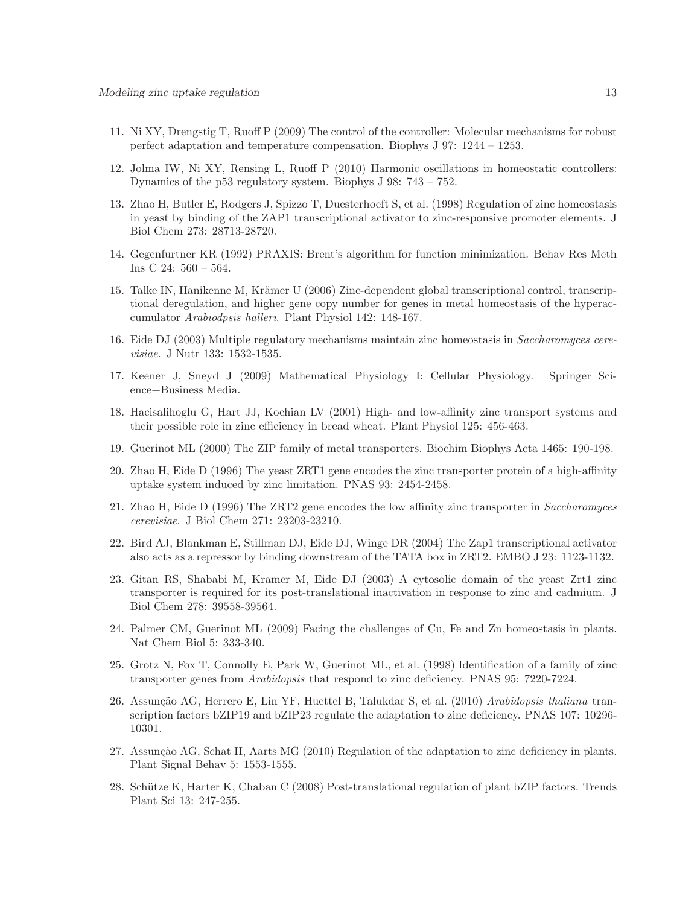- <span id="page-12-1"></span><span id="page-12-0"></span>11. Ni XY, Drengstig T, Ruoff P (2009) The control of the controller: Molecular mechanisms for robust perfect adaptation and temperature compensation. Biophys J 97: 1244 – 1253.
- <span id="page-12-2"></span>12. Jolma IW, Ni XY, Rensing L, Ruoff P (2010) Harmonic oscillations in homeostatic controllers: Dynamics of the p53 regulatory system. Biophys J 98: 743 – 752.
- 13. Zhao H, Butler E, Rodgers J, Spizzo T, Duesterhoeft S, et al. (1998) Regulation of zinc homeostasis in yeast by binding of the ZAP1 transcriptional activator to zinc-responsive promoter elements. J Biol Chem 273: 28713-28720.
- <span id="page-12-4"></span><span id="page-12-3"></span>14. Gegenfurtner KR (1992) PRAXIS: Brent's algorithm for function minimization. Behav Res Meth Ins C 24: 560 – 564.
- 15. Talke IN, Hanikenne M, Krämer U (2006) Zinc-dependent global transcriptional control, transcriptional deregulation, and higher gene copy number for genes in metal homeostasis of the hyperaccumulator Arabiodpsis halleri. Plant Physiol 142: 148-167.
- <span id="page-12-6"></span><span id="page-12-5"></span>16. Eide DJ (2003) Multiple regulatory mechanisms maintain zinc homeostasis in Saccharomyces cerevisiae. J Nutr 133: 1532-1535.
- <span id="page-12-7"></span>17. Keener J, Sneyd J (2009) Mathematical Physiology I: Cellular Physiology. Springer Science+Business Media.
- 18. Hacisalihoglu G, Hart JJ, Kochian LV (2001) High- and low-affinity zinc transport systems and their possible role in zinc efficiency in bread wheat. Plant Physiol 125: 456-463.
- <span id="page-12-9"></span><span id="page-12-8"></span>19. Guerinot ML (2000) The ZIP family of metal transporters. Biochim Biophys Acta 1465: 190-198.
- 20. Zhao H, Eide D (1996) The yeast ZRT1 gene encodes the zinc transporter protein of a high-affinity uptake system induced by zinc limitation. PNAS 93: 2454-2458.
- <span id="page-12-11"></span><span id="page-12-10"></span>21. Zhao H, Eide D (1996) The ZRT2 gene encodes the low affinity zinc transporter in Saccharomyces cerevisiae. J Biol Chem 271: 23203-23210.
- 22. Bird AJ, Blankman E, Stillman DJ, Eide DJ, Winge DR (2004) The Zap1 transcriptional activator also acts as a repressor by binding downstream of the TATA box in ZRT2. EMBO J 23: 1123-1132.
- <span id="page-12-12"></span>23. Gitan RS, Shababi M, Kramer M, Eide DJ (2003) A cytosolic domain of the yeast Zrt1 zinc transporter is required for its post-translational inactivation in response to zinc and cadmium. J Biol Chem 278: 39558-39564.
- <span id="page-12-14"></span><span id="page-12-13"></span>24. Palmer CM, Guerinot ML (2009) Facing the challenges of Cu, Fe and Zn homeostasis in plants. Nat Chem Biol 5: 333-340.
- 25. Grotz N, Fox T, Connolly E, Park W, Guerinot ML, et al. (1998) Identification of a family of zinc transporter genes from Arabidopsis that respond to zinc deficiency. PNAS 95: 7220-7224.
- <span id="page-12-15"></span>26. Assunção AG, Herrero E, Lin YF, Huettel B, Talukdar S, et al. (2010) Arabidopsis thaliana transcription factors bZIP19 and bZIP23 regulate the adaptation to zinc deficiency. PNAS 107: 10296- 10301.
- <span id="page-12-16"></span>27. Assunção AG, Schat H, Aarts MG (2010) Regulation of the adaptation to zinc deficiency in plants. Plant Signal Behav 5: 1553-1555.
- <span id="page-12-17"></span>28. Schütze K, Harter K, Chaban C (2008) Post-translational regulation of plant bZIP factors. Trends Plant Sci 13: 247-255.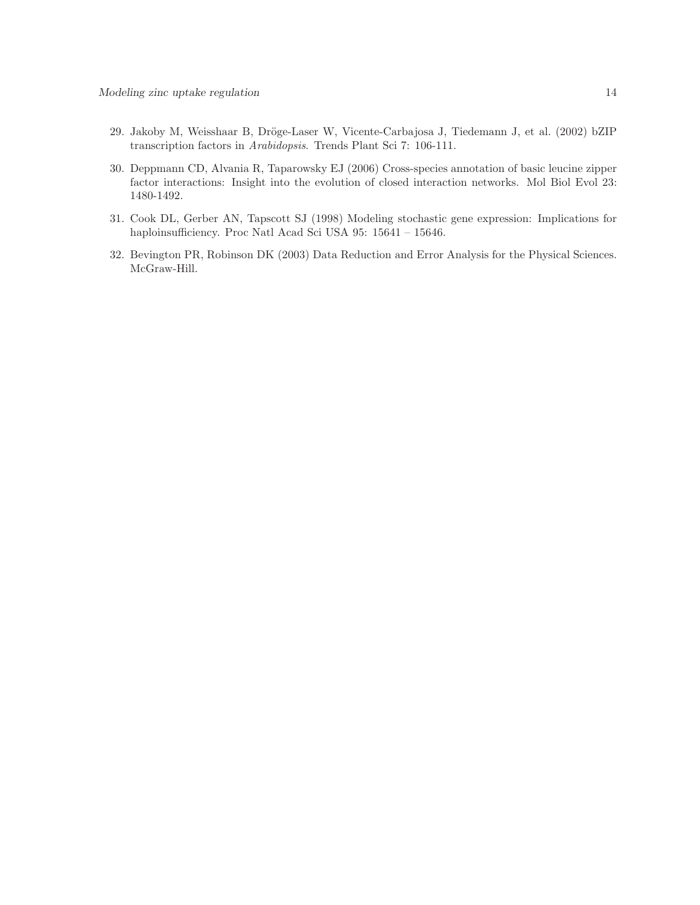- <span id="page-13-0"></span>29. Jakoby M, Weisshaar B, Dröge-Laser W, Vicente-Carbajosa J, Tiedemann J, et al. (2002) bZIP transcription factors in Arabidopsis. Trends Plant Sci 7: 106-111.
- <span id="page-13-1"></span>30. Deppmann CD, Alvania R, Taparowsky EJ (2006) Cross-species annotation of basic leucine zipper factor interactions: Insight into the evolution of closed interaction networks. Mol Biol Evol 23: 1480-1492.
- <span id="page-13-2"></span>31. Cook DL, Gerber AN, Tapscott SJ (1998) Modeling stochastic gene expression: Implications for haploinsufficiency. Proc Natl Acad Sci USA 95: 15641 – 15646.
- <span id="page-13-3"></span>32. Bevington PR, Robinson DK (2003) Data Reduction and Error Analysis for the Physical Sciences. McGraw-Hill.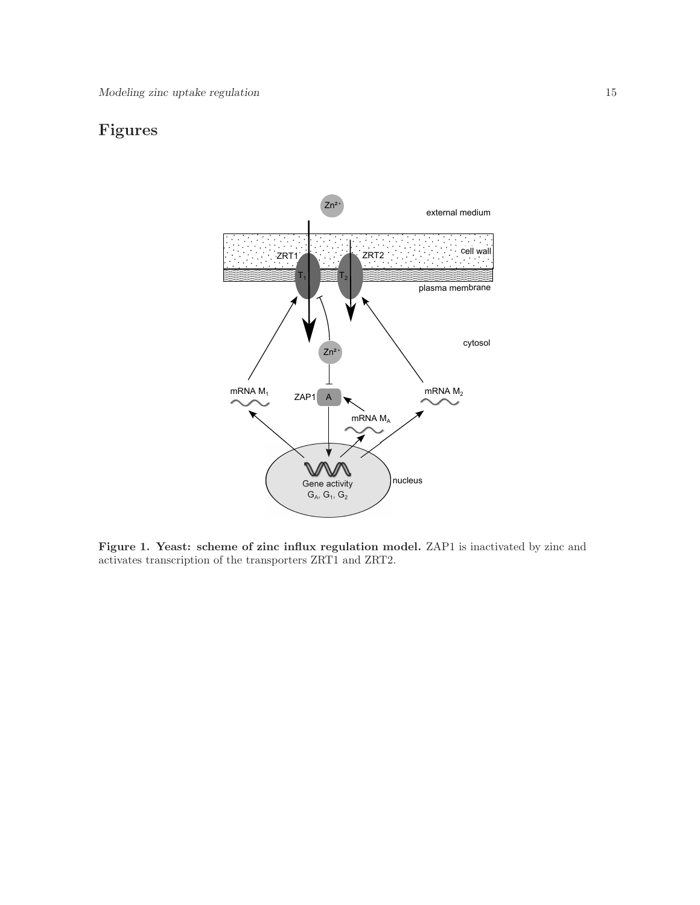# <span id="page-14-0"></span>Figures



Figure 1. Yeast: scheme of zinc influx regulation model. ZAP1 is inactivated by zinc and activates transcription of the transporters ZRT1 and ZRT2.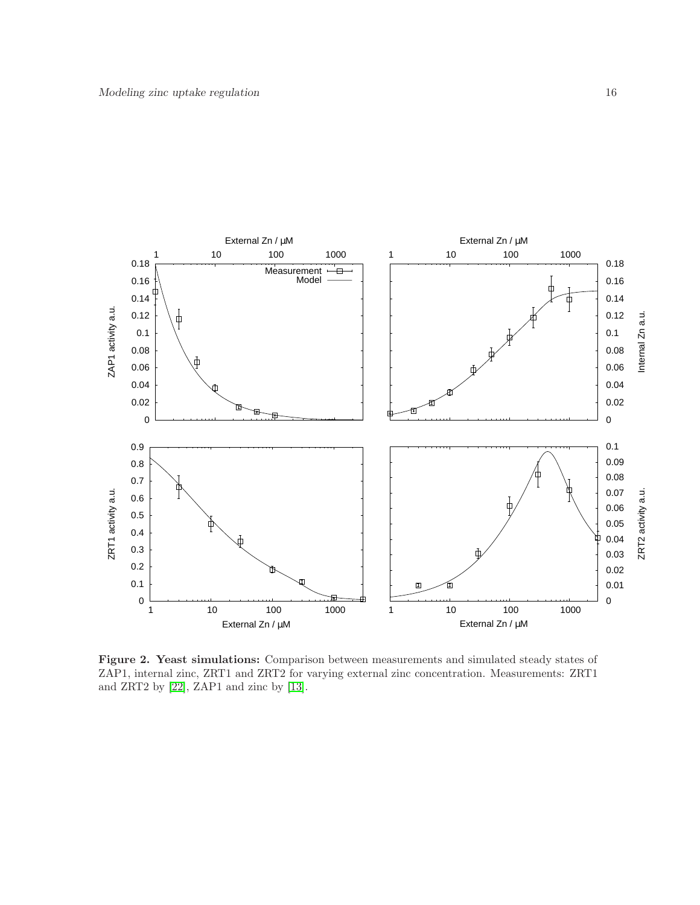<span id="page-15-0"></span>

Figure 2. Yeast simulations: Comparison between measurements and simulated steady states of ZAP1, internal zinc, ZRT1 and ZRT2 for varying external zinc concentration. Measurements: ZRT1 and ZRT2 by [\[22\]](#page-12-11), ZAP1 and zinc by [\[13\]](#page-12-2).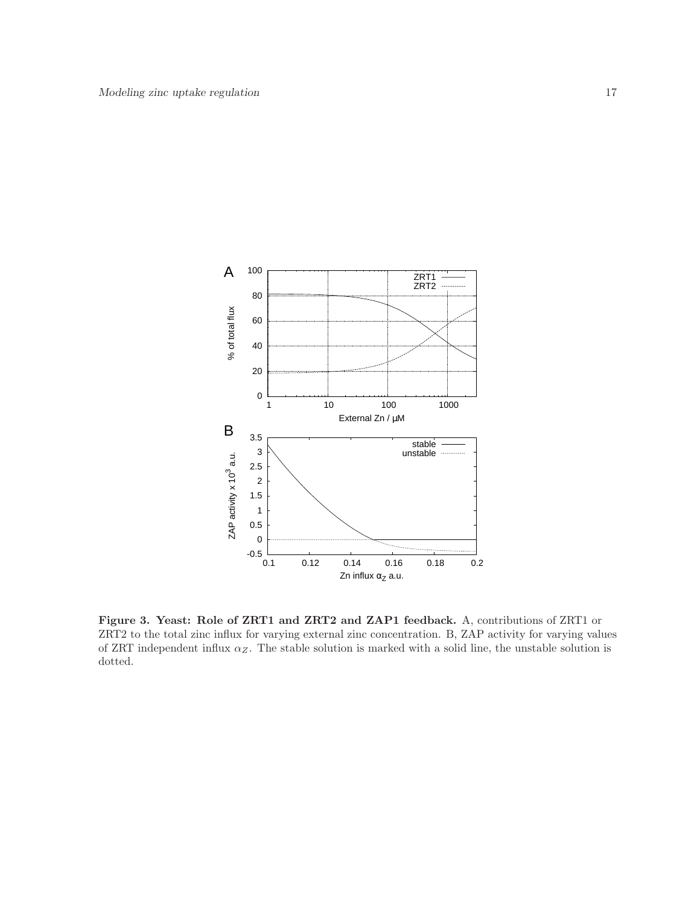<span id="page-16-0"></span>

Figure 3. Yeast: Role of ZRT1 and ZRT2 and ZAP1 feedback. A, contributions of ZRT1 or ZRT2 to the total zinc influx for varying external zinc concentration. B, ZAP activity for varying values of ZRT independent influx  $\alpha_Z$ . The stable solution is marked with a solid line, the unstable solution is dotted.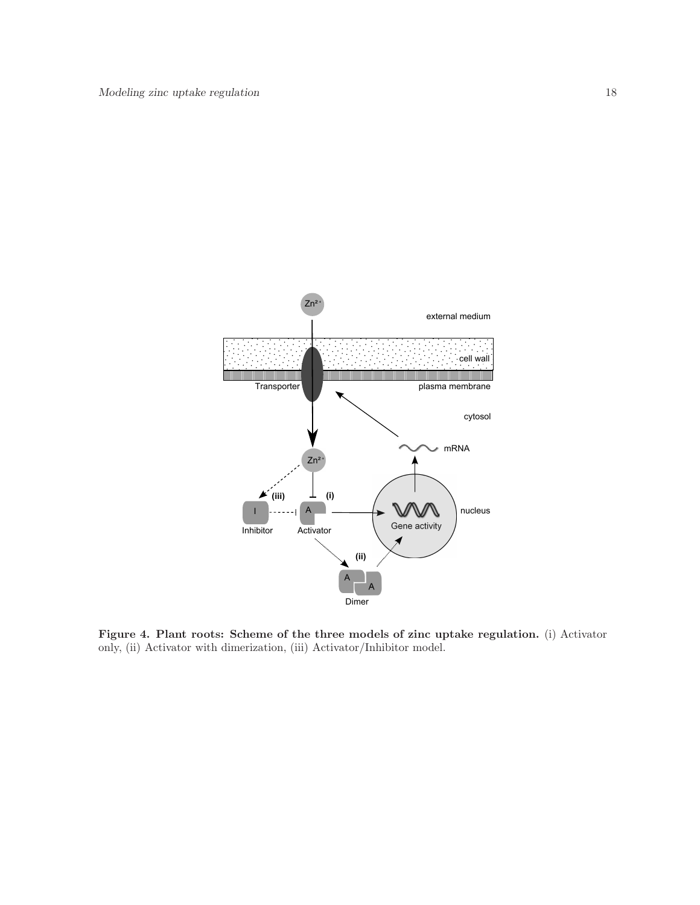<span id="page-17-0"></span>

Figure 4. Plant roots: Scheme of the three models of zinc uptake regulation. (i) Activator only, (ii) Activator with dimerization, (iii) Activator/Inhibitor model.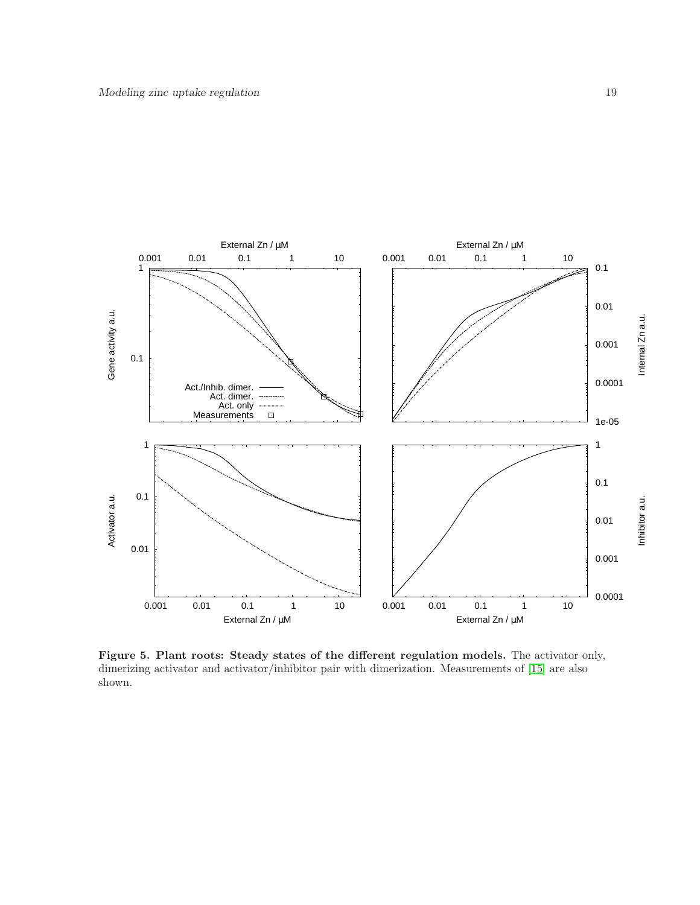<span id="page-18-0"></span>

Figure 5. Plant roots: Steady states of the different regulation models. The activator only, dimerizing activator and activator/inhibitor pair with dimerization. Measurements of [\[15\]](#page-12-4) are also shown.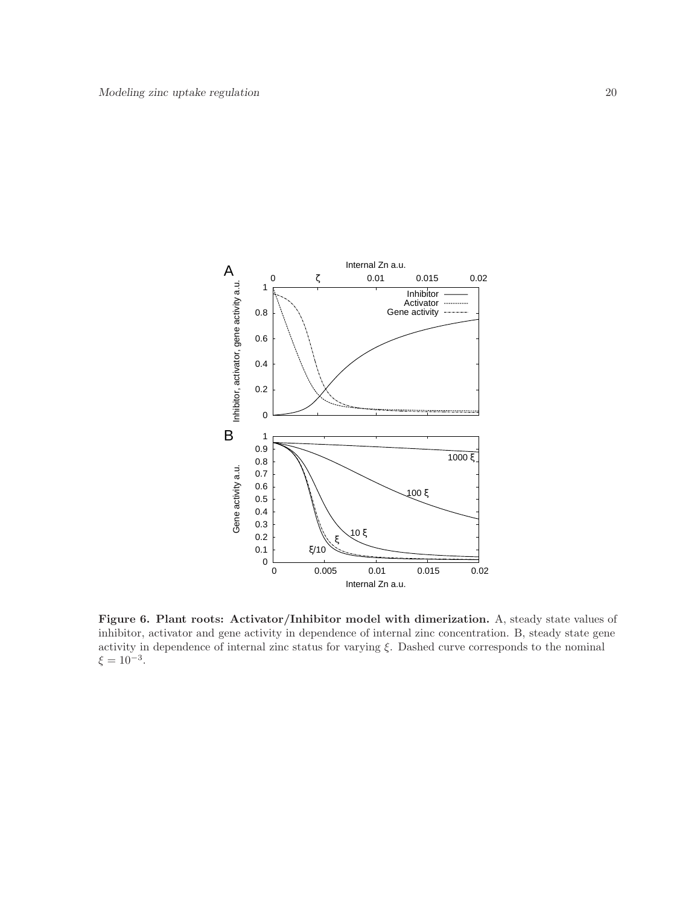<span id="page-19-0"></span>

Figure 6. Plant roots: Activator/Inhibitor model with dimerization. A, steady state values of inhibitor, activator and gene activity in dependence of internal zinc concentration. B, steady state gene activity in dependence of internal zinc status for varying  $\xi$ . Dashed curve corresponds to the nominal  $\xi = 10^{-3}$ .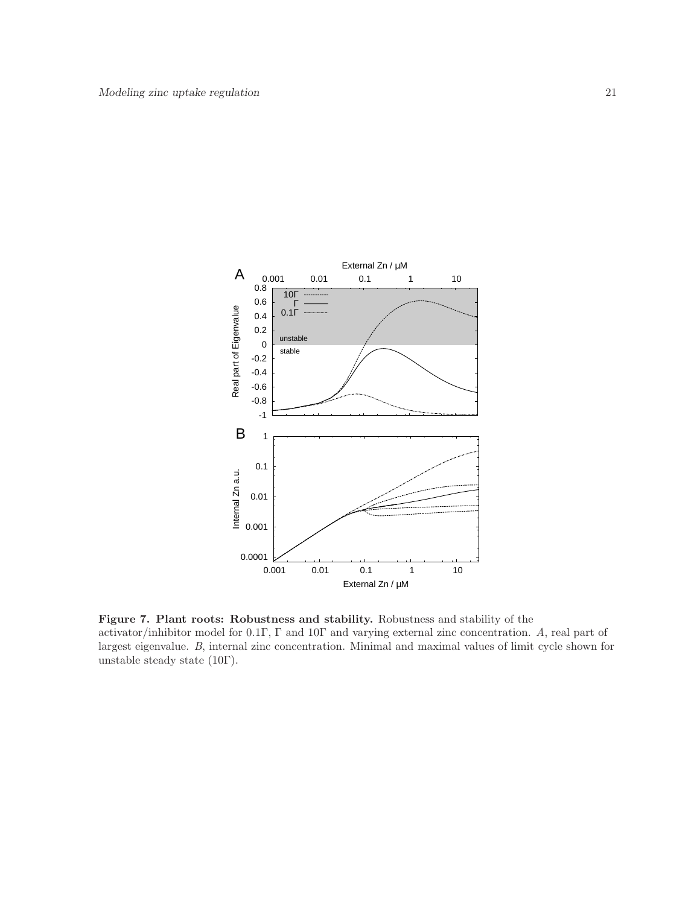<span id="page-20-0"></span>

Figure 7. Plant roots: Robustness and stability. Robustness and stability of the activator/inhibitor model for 0.1Γ, Γ and 10Γ and varying external zinc concentration. A, real part of largest eigenvalue. B, internal zinc concentration. Minimal and maximal values of limit cycle shown for unstable steady state (10Γ).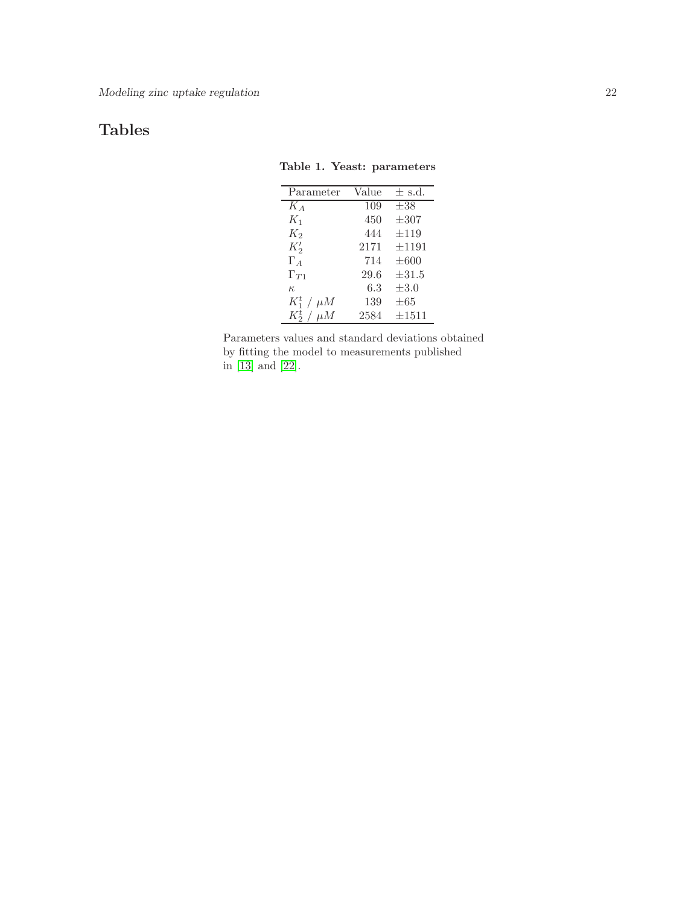# <span id="page-21-0"></span>Tables

|  |  | Table 1. Yeast: parameters |
|--|--|----------------------------|
|--|--|----------------------------|

| Parameter         | Value | $\pm$ s.d. |
|-------------------|-------|------------|
| $K_A$             | 109   | $\pm 38$   |
| $K_1$             | 450   | $\pm 307$  |
| $K_2$             | 444   | $\pm 119$  |
| $K_2'$            | 2171  | $\pm 1191$ |
| $\Gamma_A$        | 714   | $\pm 600$  |
| $\Gamma_{T1}$     | 29.6  | $\pm 31.5$ |
| $\kappa$          | 6.3   | $\pm 3.0$  |
| $K_1^t$ / $\mu$ M | 139   | $\pm 65$   |
| $K_2^t$ / $\mu$ M | 2584  | $\pm 1511$ |

Parameters values and standard deviations obtained by fitting the model to measurements published in [\[13\]](#page-12-2) and [\[22\]](#page-12-11).